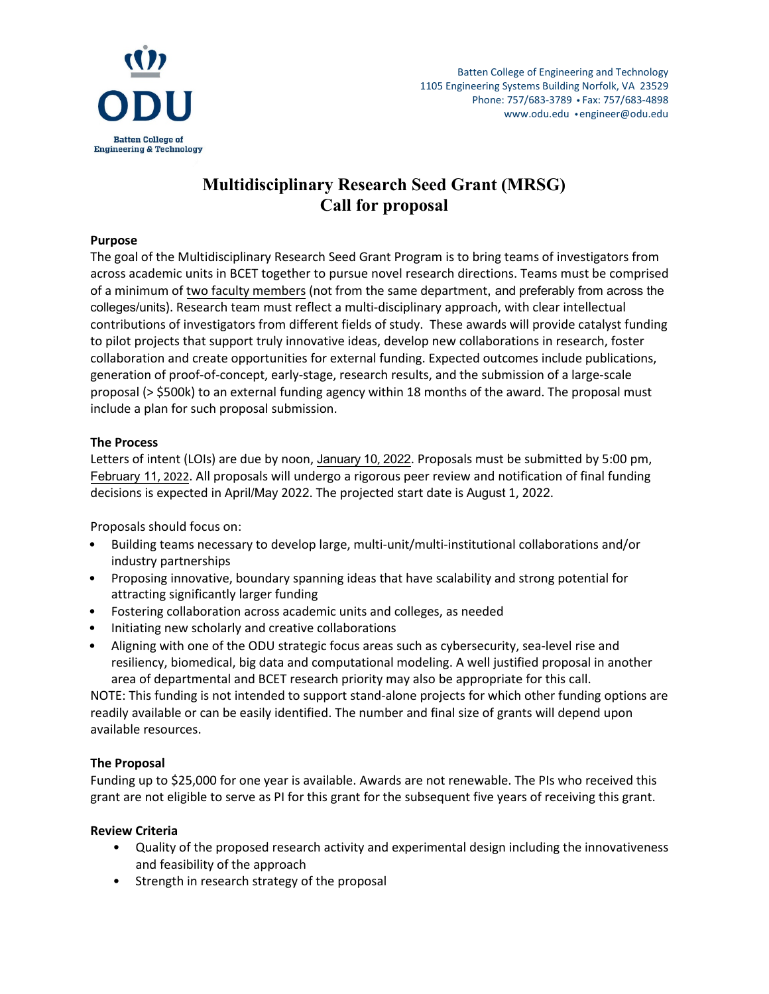

# **Multidisciplinary Research Seed Grant (MRSG) Call for proposal**

#### **Purpose**

The goal of the Multidisciplinary Research Seed Grant Program is to bring teams of investigators from across academic units in BCET together to pursue novel research directions. Teams must be comprised of a minimum of two faculty members (not from the same department, and preferably from across the colleges/units). Research team must reflect a multi-disciplinary approach, with clear intellectual contributions of investigators from different fields of study. These awards will provide catalyst funding to pilot projects that support truly innovative ideas, develop new collaborations in research, foster collaboration and create opportunities for external funding. Expected outcomes include publications, generation of proof-of-concept, early-stage, research results, and the submission of a large-scale proposal (> \$500k) to an external funding agency within 18 months of the award. The proposal must include a plan for such proposal submission.

### **The Process**

Letters of intent (LOIs) are due by noon, January 10, 2022. Proposals must be submitted by 5:00 pm, February 11, 2022. All proposals will undergo a rigorous peer review and notification of final funding decisions is expected in April/May 2022. The projected start date is August 1, 2022.

Proposals should focus on:

- Building teams necessary to develop large, multi-unit/multi-institutional collaborations and/or industry partnerships
- Proposing innovative, boundary spanning ideas that have scalability and strong potential for attracting significantly larger funding
- Fostering collaboration across academic units and colleges, as needed
- Initiating new scholarly and creative collaborations
- Aligning with one of the ODU strategic focus areas such as cybersecurity, sea-level rise and resiliency, biomedical, big data and computational modeling. A well justified proposal in another area of departmental and BCET research priority may also be appropriate for this call.

NOTE: This funding is not intended to support stand-alone projects for which other funding options are readily available or can be easily identified. The number and final size of grants will depend upon available resources.

### **The Proposal**

Funding up to \$25,000 for one year is available. Awards are not renewable. The PIs who received this grant are not eligible to serve as PI for this grant for the subsequent five years of receiving this grant.

### **Review Criteria**

- Quality of the proposed research activity and experimental design including the innovativeness and feasibility of the approach
- Strength in research strategy of the proposal